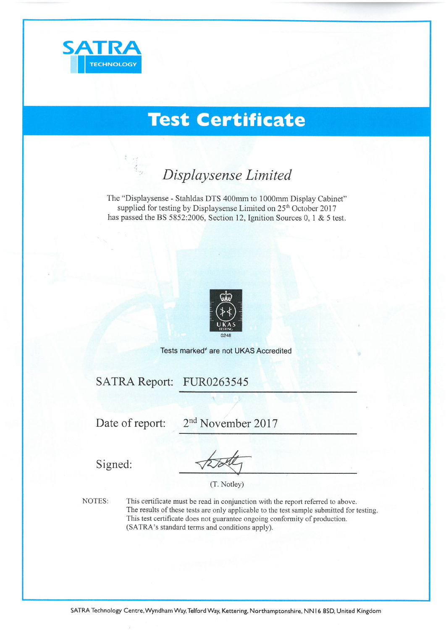

# **Test Certificate**

# Displaysense Limited

The "Displaysense - Stahldas DTS 400mm to 1000mm Display Cabinet" supplied for testing by Displaysense Limited on 25<sup>th</sup> October 2017 has passed the BS 5852:2006, Section 12, Ignition Sources 0, 1 & 5 test.



Tests marked<sup>\*</sup> are not UKAS Accredited

SATRA Report: FUR0263545

Date of report:

2<sup>nd</sup> November 2017

Signed:

(T. Notley)

NOTES:

This certificate must be read in conjunction with the report referred to above. The results of these tests are only applicable to the test sample submitted for testing. This test certificate does not guarantee ongoing conformity of production. (SATRA's standard terms and conditions apply).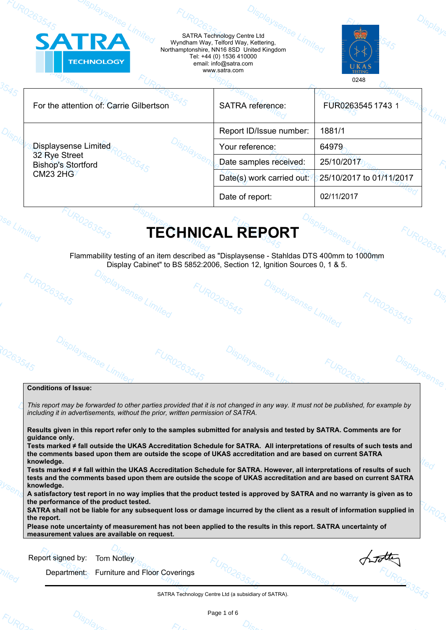| <b>SATRA</b><br><b>TECHNOLOGY</b>                                         |  | Wyndham Way, Telford Way, Kettering,<br>Northamptonshire, NN16 8SD United Kingdom<br>Tel: +44 (0) 1536 410000<br>email: info@satra.com<br>www.satra.com |                          |
|---------------------------------------------------------------------------|--|---------------------------------------------------------------------------------------------------------------------------------------------------------|--------------------------|
|                                                                           |  |                                                                                                                                                         | 0248                     |
| For the attention of: Carrie Gilbertson                                   |  | <b>SATRA</b> reference:                                                                                                                                 | FUR0263545 1743 1        |
| <b>Displaysense Limited</b><br>32 Rye Street<br><b>Bishop's Stortford</b> |  | Report ID/Issue number:                                                                                                                                 | 1881/1                   |
|                                                                           |  | Your reference:                                                                                                                                         | 64979                    |
|                                                                           |  | Date samples received:                                                                                                                                  | 25/10/2017               |
| <b>CM23 2HG</b>                                                           |  | Date(s) work carried out:                                                                                                                               | 25/10/2017 to 01/11/2017 |
|                                                                           |  | Date of report:                                                                                                                                         | 02/11/2017               |

Flammability testing of an item described as "Displaysense - Stahldas DTS 400mm to 1000mm Display Cabinet" to BS 5852:2006, Section 12, Ignition Sources 0, 1 & 5.<br>  $\frac{O_{\sqrt{S_{D}}/N}}{O_{\sqrt{S_{D}}}}$ FUR0263545

isplaysense Limited

FURO263545

hotter

**UR0263545** 

Displaysens

FUR0263545

### **Conditions of Issue:**

Displaysens

*This report may be forwarded to other parties provided that it is not changed in any way. It must not be published, for example by including it in advertisements, without the prior, written permission of SATRA.*

FURO263

**Results given in this report refer only to the samples submitted for analysis and tested by SATRA. Comments are for guidance only.** 

**Tests marked ≠ fall outside the UKAS Accreditation Schedule for SATRA. All interpretations of results of such tests and the comments based upon them are outside the scope of UKAS accreditation and are based on current SATRA knowledge.**

**Tests marked ≠ ≠ fall within the UKAS Accreditation Schedule for SATRA. However, all interpretations of results of such tests and the comments based upon them are outside the scope of UKAS accreditation and are based on current SATRA knowledge.**

**A satisfactory test report in no way implies that the product tested is approved by SATRA and no warranty is given as to the performance of the product tested.**

**SATRA shall not be liable for any subsequent loss or damage incurred by the client as a result of information supplied in the report.**

**Please note uncertainty of measurement has not been applied to the results in this report. SATRA uncertainty of measurement values are available on request.**

Report signed by: **Tom Notley** 

Department: Furniture and Floor Coverings

SATRA Technology Centre Ltd (a subsidiary of SATRA).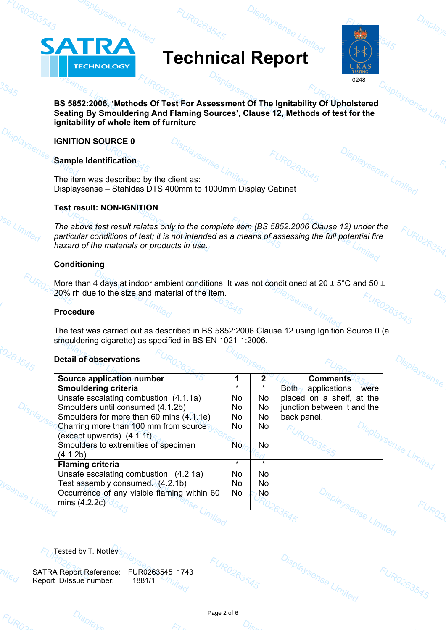# **Technical Report**



Displaysense Limited

Displaysense

FUR0263545

**BS 5852:2006, 'Methods Of Test For Assessment Of The Ignitability Of Upholstered Seating By Smouldering And Flaming Sources', Clause 12, Methods of test for the ignitability of whole item of furniture**

## **IGNITION SOURCE 0**

**ATRA** 

**TECHNOLOGY** 

## **Sample Identification**

The item was described by the client as: Displaysense – Stahldas DTS 400mm to 1000mm Display Cabinet

## **Test result: NON-IGNITION**

*The above test result relates only to the complete item (BS 5852:2006 Clause 12) under the particular conditions of test; it is not intended as a means of assessing the full potential fire hazard of the materials or products in use.*

# **Conditioning**

More than 4 days at indoor ambient conditions. It was not conditioned at 20  $\pm$  5°C and 50  $\pm$ 20% rh due to the size and material of the item.

# **Procedure**

The test was carried out as described in BS 5852:2006 Clause 12 using Ignition Source 0 (a smouldering cigarette) as specified in BS EN 1021-1:2006.

# **Detail of observations**

|  | <b>Detail of observations</b>               |         |           |                                          |  |
|--|---------------------------------------------|---------|-----------|------------------------------------------|--|
|  | Source application number                   | 1       | 2         | <b>Comments</b>                          |  |
|  | <b>Smouldering criteria</b>                 | $\ast$  |           | $Both_{\alpha'}$<br>applications<br>were |  |
|  | Unsafe escalating combustion. (4.1.1a)      | No      | No        | placed on a shelf, at the                |  |
|  | Smoulders until consumed (4.1.2b)           | No      | No        | junction between it and the              |  |
|  | Smoulders for more than 60 mins (4.1.1e)    | No.     | No        | back panel.                              |  |
|  | Charring more than 100 mm from source       | No      | No        |                                          |  |
|  | (except upwards). $(4.1.1f)$                |         |           |                                          |  |
|  | Smoulders to extremities of specimen        | No.     | No        |                                          |  |
|  | (4.1.2b)                                    |         |           |                                          |  |
|  | <b>Flaming criteria</b>                     | $\star$ | $\star$   |                                          |  |
|  | Unsafe escalating combustion. (4.2.1a)      | No.     | No.       |                                          |  |
|  | Test assembly consumed. (4.2.1b)            | No      | No        |                                          |  |
|  | Occurrence of any visible flaming within 60 | No.     | <b>No</b> |                                          |  |
|  | mins $(4.2.2c)$                             |         |           |                                          |  |
|  |                                             |         |           |                                          |  |
|  |                                             |         |           |                                          |  |
|  |                                             |         |           |                                          |  |

Tested by T. Notley

SATRA Report Reference: FUR0263545 1743 Report ID/Issue number: 1881/1



Displaysense Limited

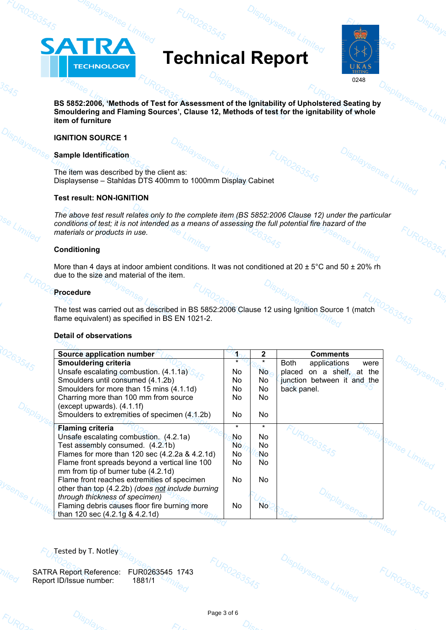# **Technical Report**



Displaysense Limited

**BS 5852:2006, 'Methods of Test for Assessment of the Ignitability of Upholstered Seating by Smouldering and Flaming Sources', Clause 12, Methods of test for the ignitability of whole item of furniture**

## **IGNITION SOURCE 1**

TRA

**TECHNOLOGY** 

 $\blacktriangle$ 

## **Sample Identification**

The item was described by the client as: Displaysense – Stahldas DTS 400mm to 1000mm Display Cabinet

## **Test result: NON-IGNITION**

*The above test result relates only to the complete item (BS 5852:2006 Clause 12) under the particular conditions of test; it is not intended as a means of assessing the full potential fire hazard of the materials or products in use.*

## **Conditioning**

More than 4 days at indoor ambient conditions. It was not conditioned at  $20 \pm 5^{\circ}$ C and  $50 \pm 20\%$  rh due to the size and material of the item.

## **Procedure**

The test was carried out as described in BS 5852:2006 Clause 12 using Ignition Source 1 (match flame equivalent) as specified in BS EN 1021-2.

## **Detail of observations**

| Source application number                         |         | 2              | <b>Comments</b>                     |  |
|---------------------------------------------------|---------|----------------|-------------------------------------|--|
| Smouldering criteria                              |         |                | applications<br><b>Both</b><br>were |  |
| Unsafe escalating combustion. (4.1.1a)            | No.     | No.            | on a shelf, at the<br>placed        |  |
| Smoulders until consumed (4.1.2b)                 | No.     | No.            | junction between it and the         |  |
| Smoulders for more than 15 mins (4.1.1d)          | No.     | No.            | back panel.                         |  |
| Charring more than 100 mm from source             | No.     | No.            |                                     |  |
| (except upwards). (4.1.1f)                        |         |                |                                     |  |
| Smoulders to extremities of specimen (4.1.2b)     | No.     | No.            |                                     |  |
| <b>Flaming criteria</b>                           | $\star$ | $\star$        |                                     |  |
| Unsafe escalating combustion. (4.2.1a)            | No.     | No             |                                     |  |
| Test assembly consumed. (4.2.1b)                  |         | N <sub>o</sub> |                                     |  |
|                                                   | No.     |                |                                     |  |
| Flames for more than 120 sec (4.2.2a & 4.2.1d)    | No      | No             |                                     |  |
| Flame front spreads beyond a vertical line 100    | No      | N <sub>o</sub> |                                     |  |
| mm from tip of burner tube (4.2.1d)               |         |                |                                     |  |
| Flame front reaches extremities of specimen       | No      | No.            |                                     |  |
| other than top (4.2.2b) (does not include burning |         |                |                                     |  |
| through thickness of specimen)                    |         |                |                                     |  |
| Flaming debris causes floor fire burning more     | No      | No.            |                                     |  |
| than 120 sec (4.2.1g & 4.2.1d)                    |         |                |                                     |  |
|                                                   |         |                |                                     |  |
|                                                   |         |                |                                     |  |

Tested by T. Notley

SATRA Report Reference: FUR0263545 1743 Report ID/Issue number: 1881/1



Displaysense Limited

FUR0263545

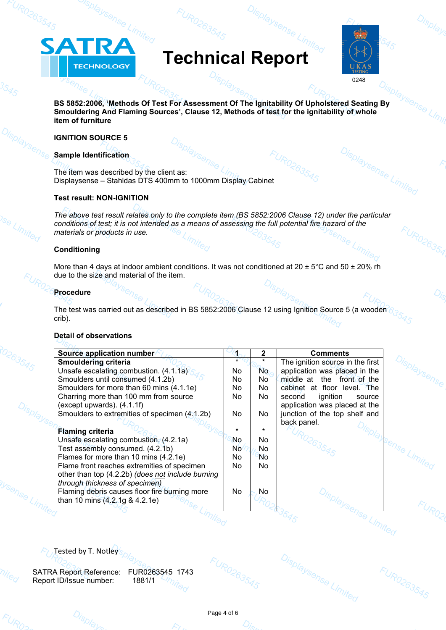# **Technical Report**



Displaysense Limited

Displaysense

FUR0263545

**BS 5852:2006, 'Methods Of Test For Assessment Of The Ignitability Of Upholstered Seating By Smouldering And Flaming Sources', Clause 12, Methods of test for the ignitability of whole item of furniture**

## **IGNITION SOURCE 5**

ATRA

**TECHNOLOGY** 

## **Sample Identification**

The item was described by the client as: Displaysense – Stahldas DTS 400mm to 1000mm Display Cabinet

## **Test result: NON-IGNITION**

*The above test result relates only to the complete item (BS 5852:2006 Clause 12) under the particular conditions of test; it is not intended as a means of assessing the full potential fire hazard of the materials or products in use.*

## **Conditioning**

More than 4 days at indoor ambient conditions. It was not conditioned at  $20 \pm 5^{\circ}$ C and  $50 \pm 20\%$  rh due to the size and material of the item.

## **Procedure**

The test was carried out as described in BS 5852:2006 Clause 12 using Ignition Source 5 (a wooden crib).

### **Detail of observations**

| Source application number                         | s.              | 2         | <b>Comments</b>                  |  |
|---------------------------------------------------|-----------------|-----------|----------------------------------|--|
| <b>Smouldering criteria</b>                       | $\star$         |           | The ignition source in the first |  |
| Unsafe escalating combustion. (4.1.1a)            | No.             | No.       | application was placed in the    |  |
| Smoulders until consumed (4.1.2b)                 | No              | No        | middle at the front of the       |  |
| Smoulders for more than 60 mins (4.1.1e)          | No.             | No.       | cabinet at floor level. The      |  |
| Charring more than 100 mm from source             | No.             | No        | ignition<br>second<br>source     |  |
| (except upwards). $(4.1.1f)$                      |                 |           | application was placed at the    |  |
| Smoulders to extremities of specimen (4.1.2b)     | No              | No.       | junction of the top shelf and    |  |
|                                                   |                 |           | back panel.                      |  |
| <b>Flaming criteria</b>                           | $\star$         | $\star$   |                                  |  |
| Unsafe escalating combustion. (4.2.1a)            | No              | No.       |                                  |  |
| Test assembly consumed. (4.2.1b)                  | No <sup>1</sup> | No        |                                  |  |
| Flames for more than 10 mins (4.2.1e)             | No              | <b>No</b> |                                  |  |
| Flame front reaches extremities of specimen       | No.             | No.       |                                  |  |
| other than top (4.2.2b) (does not include burning |                 |           |                                  |  |
| through thickness of specimen)                    |                 |           |                                  |  |
| Flaming debris causes floor fire burning more     | No              | No        |                                  |  |
| than 10 mins (4.2.1g & 4.2.1e)                    |                 |           |                                  |  |
|                                                   |                 |           |                                  |  |
|                                                   |                 |           |                                  |  |
|                                                   |                 |           |                                  |  |
|                                                   |                 |           |                                  |  |

Tested by T. Notley

SATRA Report Reference: FUR0263545 1743 Report ID/Issue number: 1881/1



Displaysense Limited

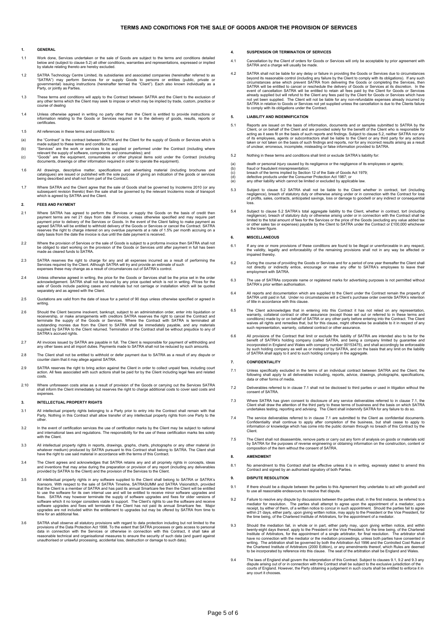#### **1. GENERAL**

- 1.1 Work done, Services undertaken or the sale of Goods are subject to the terms and conditions detailed<br>below and (subject to clause 5.2) all other conditions, warranties and representations, expressed or implied<br>by statu
- 1.2 SATRA Technology Centre Limited, its subsidiaries and associated companies (hereinafter referred to as<br>"SATRA") may perform Services for or supply Goods to persons or entities (public, private or<br>governmental) issuing
- 1.3 These terms and conditions will apply to the Contract between SATRA and the Client to the exclusion of any other terms which the Client may seek to impose or which may be implied by trade, custom, practice or course of dealing
- 1.4 Unless otherwise agreed in writing no party other than the Client is entitled to provide instructions or information relating to the Goods or Services required or to the delivery of goods, results, reports or certificates.
- 1.5 All references in these terms and conditions to:
- (a) the "Contract" is the contract between SATRA and the Client for the supply of Goods or Services which is made subject to these terms and conditions; and<br>(b) "Services" are the work or services to be supplied or perform
- 
- 
- 1.6 All drawings, descriptive matter, specifications and advertising material (including brochures and<br>catalogues) are issued or published with the sole purpose of giving an indication of the goods or services<br>being descri
- 1.7 Where SATRA and the Client agree that the sale of Goods shall be governed by Incoterms 2010 (or any<br>subsequent revision thereto) then the sale shall be governed by the relevant Incoterms mode of transport<br>which is agre

### **2. FEES AND PAYMENT**

- 2.1 Where SATRA has agreed to perform the Services or supply the Goods on the basis of credit then payment terms are net 21 days from date of invoice, unless otherwise specified and may require part payment prior to delive
- 2.2 Where the provision of Services or the sale of Goods is subject to a proforma invoice then SATRA shall not<br>be obliged to start working on the provision of the Goods or Services until after payment in full has been<br>made
- 2.3 SATRA reserves the right to charge for any and all expenses incurred as a result of performing the<br>Services required by the Client. Although SATRA will try and provide an estimate of such<br>expenses these may change as a
- 2.4 Unless otherwise agreed in writing, the price for the Goods or Services shall be the price set in the order<br>acknowledgement. SATRA shall not be bound by any price quoted which is not in writing. Prices for the<br>sale of
- 2.5 Quotations are valid from the date of issue for a period of 90 days unless otherwise specified or agreed in writing.
- 2.6 Should the Client become insolvent, bankrupt, subject to an administration order, enter into liquidation or<br>receivership, or make arrangements with creditors SATRA reserves the right to cancel the Contract and<br>terminat
- 2.7 All invoices issued by SATRA are payable in full. The Client is responsible for payment of withholding and any other taxes and all import duties. Payments made to SATRA shall not be reduced by such amounts.
- 2.8 The Client shall not be entitled to withhold or defer payment due to SATRA as a result of any dispute counter claim that it may allege against SATRA.
- 2.9 SATRA reserves the right to bring action against the Client in order to collect unpaid fees, including court action. All fees associated with such actions shall be paid for by the Client including legal fees and related costs.
- 2.10 Where unforeseen costs arise as a result of provision of the Goods or carrying out the Services SATRA shall inform the Client immediately but reserves the right to charge additional costs to cover said costs and expenses.

#### **3. INTELLECTUAL PROPERTY RIGHTS**

- 3.1 All intellectual property rights belonging to a Party prior to entry into the Contract shall remain with that<br>Party. Nothing in this Contract shall allow transfer of any intellectual property rights from one Party to t
- 1.2 In the event of certification services the use of certification marks by the Client may be subject to national<br>and international laws and regulations. The responsibility for the use of these certification marks lies so
- 3.3 All intellectual property rights in reports, drawings, graphs, charts, photographs or any other material (in<br>whatever medium) produced by SATRA pursuant to this Contract shall belong to SATRA. The Client shall<br>have the
- 3.4 The Client agrees and acknowledges that SATRA retains any and all propriety rights in concepts, ideas and inventions that may arise during the preparation or provision of any report (including any deliverables provided by SATRA to the Client) and the provision of the Services to the Client.
- 3.5 All intellectual property rights in any software supplied to the Client shall belong to SATRA or SATRA's<br>licensors. With respect to the sale of SATRA Timeline, SATRASUMM and SATRA Visionstitch, provided<br>that the Client to use the software for its own internal use and will be entitled to receive minor software upgrades and fixes. SATRA may however terminate the supply of software upgrades and fixes for older versions of software which it
- 3.6 SATRA shall observe all statutory provisions with regard to data protection including but not limited to the provisions of the Data Protection Act 1998. To the extent that SATRA processes or gets access to personal dat

#### **4. SUSPENSION OR TERMINATION OF SERVICES**

- 4.1 Cancellation by the Client of orders for Goods or Services will only be acceptable by prior agreement with SATRA and a charge will usually be made
- 4.2 SATRA shall not be liable for any delay or failure in providing the Goods or Services due to circumstances<br>beyond its reasonable control (including any failure by the Client to comply with its obligations). If any such event of cancellation SATRA will be entitled to retain all fees paid by the Client for Goods or Services already supplied but will refund to the Client any fees paid by the Client for Goods or Services which have not yet been supplied. The Client will not be liable for any non-refundable expenses already incurred by<br>SATRA in relation to Goods or Services not yet supplied unless the cancellation is due to the Clients failure<br>to com

#### **5. LIABILITY AND INDEMNIFICATION**

- 5.1 Reports are issued on the basis of information, documents and or samples submitted to SATRA by the Client, or on behalf of the Client and are provided solely for the benefit of the Client acting as it sees fit on the b
- 5.2 Nothing in these terms and conditions shall limit or exclude SATRA's liability
- (a) death or personal injury caused by its negligence or the negligence of its employees or agents;<br>(b) fraud or fraudulent misrepresentation;<br>(c) breach of the terms implied by Section 12 of the Sale of Goods Act 1979;
- (b) fraud or fraudulent misrepresentation; (c) breach of the terms implied by Section 12 of the Sale of Goods Act 1979; (d) defective products under the Consumer Protection Act 1987; or
- 
- (e) any other liability which cannot be limited or excluded by applicable law.
- 5.3 Subject to clause 5.2 SATRA shall not be liable to the Client whether in contract, tort (including negligence), breach of statutory duty or otherwise arising under or in connection with the Contract for loss of profits, sales, contracts, anticipated savings, loss or damage to goodwill or any indirect or consequential loss.
- 5.4 Subject to clause 5.2 SATRA's total aggregate liability to the Client, whether in contract, tort (including<br>negligence), breach of statutory duty or otherwise arising under or in connection with the Contract shall be<br>l or other sales tax

#### **6. MISCELLANEOUS**

- 6.1 If any one or more provisions of these conditions are found to be illegal or unenforceable in any respect, the validity, legality and enforceability of the remaining provisions shall not in any way be affected or impaired thereby.
- 6.2 During the course of providing the Goods or Services and for a period of one year thereafter the Client shall not directly or indirectly entice, encourage or make any offer to SATRA's employees to leave their employment with SATRA.
- 6.3 The use of SATRAs corporate name or registered marks for advertising purposes is not permitted without SATRA's prior written authorisation.
- 6.4 All reports and documentation which are supplied to the Client under the Contract remain the property of SATRA until paid in full. Under no circumstances will a Client's purchase order override SATRA's retention of title in accordance with this clause.
- 6.5 The Client acknowledges that in entering into this Contract it has not relied on any representation, warranty, collateral contract or other assurance (except those set out or referred to in these terms and conditions)
- 6.6 All provisions of the Contract that limit or exclude the liability of SATRA are intended also to be for the londer broad benefit of SATRA's holding company (called SATRA, and being a company limited by guarantee and in

#### **7. CONFIDENTIALITY**

- 7.1 Unless specifically excluded in the terms of an individual contract between SATRA and the Client, the following shall apply to all deliverables including, reports, advice, drawings, photographs, specifications, data or other forms of media.
- 7.2 Deliverables referred to in clause 7.1 shall not be disclosed to third parties or used in litigation without the consent of SATRA.
- 7.3 Where SATRA has given consent to disclosure of any service deliverables referred to in clause 7.1, the Client shall draw the attention of the third party to these terms of the bail of the basis on which SATRA under SAT
- 7.4 The service deliverables referred to in clause 7.1 are submitted to the Client as confidential documents.<br>Confidentiality shall continue to apply after completion of the business, but shall cease to apply to<br>informatio
- 7.5 The Client shall not disassemble, remove parts or carry out any form of analysis on goods or materials sold<br>by SATRA for the purposes of reverse engineering or obtaining information on the construction, content or<br>comp

### **8. AMENDMENT**

8.1 No amendment to this Contract shall be effective unless it is in writing, expressly stated to amend this Contract and signed by an authorised signatory of both Parties.

#### **9. DISPUTE RESOLUTION**

- 9.1 If there should be a dispute between the parties to this Agreement they undertake to act with goodwill and to use all reasons to resolve that dispute.
- 9.2 Failure to resolve any dispute by discussions between the parties shall, in the first instance, be referred to a mediator for resolution. The parties shall attempt to agree upon the appointment of a mediator, upon rece
- 9.3 Should the mediation fail, in whole or in part, either party may, upon giving written notice, and within twenty-eight days thereof, apply to the President or the Vice President, for the time being, of the Chartered<br>Institute of Arbitrators, for the appointment of a single arbitrator, for final resolution. The arbitrator shall the Chartered Institute of Arbitrators (2000 Edition), or any amendments thereof, which Rules are deemed to be incorporated by reference into this clause. The seat of the arbitration shall be England and Wales.
- 9.4 The laws of England shall govern the interpretation of this Contract. Subject to clauses 9.1, 9.2 and 9.3 any dispute arising out of or in connection with the Contract shall be subject to the exclusive jurisdiction of